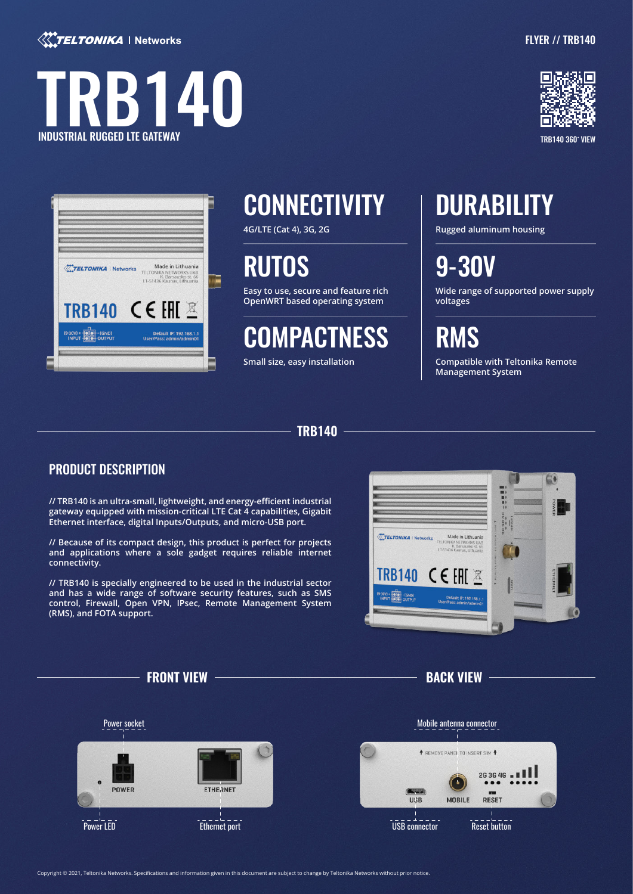

# **B140** INDUSTRIAL RUGGED LTE GATEWAY





TRB140 360 VIEW

| <b>TELTONIKA   Networks</b>                                             | Made in Lithuania<br>TELTONIKA NETWORKS UAB<br>K. Barsausko st. 66<br>LT-51436 Kaunas, Lithuania |
|-------------------------------------------------------------------------|--------------------------------------------------------------------------------------------------|
| TRB140 CE EHE                                                           |                                                                                                  |
| $(9 - 30V) + \frac{1}{10}$<br>$-(GND)$<br><b>INPUT</b><br><b>OUTPUT</b> | Default IP: 192.168.1.1<br>User/Pass: admin/admin01                                              |

## CONNECTIVITY | DURABILITY

**4G/LTE (Cat 4), 3G, 2G**

## RUTOS

**Easy to use, secure and feature rich OpenWRT based operating system** 

## **COMPACTNESS**

**Small size, easy installation**

**Rugged aluminum housing**

9-30V

**Wide range of supported power supply voltages**

**RMS** 

**Compatible with Teltonika Remote Management System**

### **TRB140**

### PRODUCT DESCRIPTION

**// TRB140 is an ultra-small, lightweight, and energy-efficient industrial gateway equipped with mission-critical LTE Cat 4 capabilities, Gigabit Ethernet interface, digital Inputs/Outputs, and micro-USB port.** 

**// Because of its compact design, this product is perfect for projects and applications where a sole gadget requires reliable internet connectivity.** 

**// TRB140 is specially engineered to be used in the industrial sector and has a wide range of software security features, such as SMS control, Firewall, Open VPN, IPsec, Remote Management System (RMS), and FOTA support.** 



**FRONT VIEW BACK VIEW**